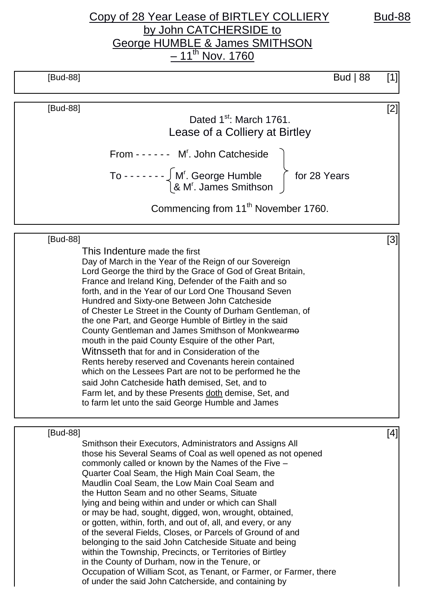## Copy of 28 Year Lease of BIRTLEY COLLIERY Bud-88 by John CATCHERSIDE to George HUMBLE & James SMITHSON <u>– 11<sup>th</sup> Nov. 1760</u>

| [Bud-88] |                                                                                                                       | Bud   $88$ | [1] |
|----------|-----------------------------------------------------------------------------------------------------------------------|------------|-----|
| [Bud-88] |                                                                                                                       |            | [2] |
|          | Dated 1 <sup>st</sup> : March 1761.                                                                                   |            |     |
|          | Lease of a Colliery at Birtley                                                                                        |            |     |
|          | From - - - - - - M <sup>r</sup> . John Catcheside                                                                     |            |     |
|          | To - - - - - - $\int M'$ . George Humble<br>& M'. James Smithson $\int$ for 28 Years                                  |            |     |
|          | Commencing from 11 <sup>th</sup> November 1760.                                                                       |            |     |
| [Bud-88] |                                                                                                                       |            | [3] |
|          | This Indenture made the first                                                                                         |            |     |
|          | Day of March in the Year of the Reign of our Sovereign                                                                |            |     |
|          | Lord George the third by the Grace of God of Great Britain,                                                           |            |     |
|          | France and Ireland King, Defender of the Faith and so<br>forth, and in the Year of our Lord One Thousand Seven        |            |     |
|          | Hundred and Sixty-one Between John Catcheside                                                                         |            |     |
|          | of Chester Le Street in the County of Durham Gentleman, of                                                            |            |     |
|          | the one Part, and George Humble of Birtley in the said                                                                |            |     |
|          | County Gentleman and James Smithson of Monkwearme                                                                     |            |     |
|          | mouth in the paid County Esquire of the other Part,                                                                   |            |     |
|          | Witnsseth that for and in Consideration of the                                                                        |            |     |
|          | Rents hereby reserved and Covenants herein contained                                                                  |            |     |
|          | which on the Lessees Part are not to be performed he the                                                              |            |     |
|          | said John Catcheside hath demised, Set, and to                                                                        |            |     |
|          | Farm let, and by these Presents doth demise, Set, and                                                                 |            |     |
|          | to farm let unto the said George Humble and James                                                                     |            |     |
| [Bud-88] |                                                                                                                       |            | [4] |
|          | Smithson their Executors, Administrators and Assigns All                                                              |            |     |
|          | those his Several Seams of Coal as well opened as not opened                                                          |            |     |
|          | commonly called or known by the Names of the Five -                                                                   |            |     |
|          | Quarter Coal Seam, the High Main Coal Seam, the                                                                       |            |     |
|          | Maudlin Coal Seam, the Low Main Coal Seam and                                                                         |            |     |
|          | the Hutton Seam and no other Seams, Situate                                                                           |            |     |
|          | lying and being within and under or which can Shall                                                                   |            |     |
|          | or may be had, sought, digged, won, wrought, obtained,                                                                |            |     |
|          | or gotten, within, forth, and out of, all, and every, or any                                                          |            |     |
|          | of the several Fields, Closes, or Parcels of Ground of and<br>belonging to the said John Catcheside Situate and being |            |     |
|          | within the Township, Precincts, or Territories of Birtley                                                             |            |     |
|          |                                                                                                                       |            |     |

Occupation of William Scot, as Tenant, or Farmer, or Farmer, there of under the said John Catcherside, and containing by

in the County of Durham, now in the Tenure, or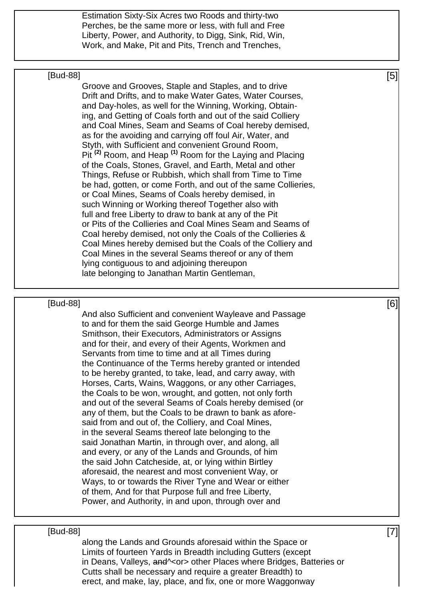Estimation Sixty-Six Acres two Roods and thirty-two Perches, be the same more or less, with full and Free Liberty, Power, and Authority, to Digg, Sink, Rid, Win, Work, and Make, Pit and Pits, Trench and Trenches,

### $[\mathsf{Bud}\text{-}88]$  [5]

Groove and Grooves, Staple and Staples, and to drive Drift and Drifts, and to make Water Gates, Water Courses, and Day-holes, as well for the Winning, Working, Obtaining, and Getting of Coals forth and out of the said Colliery and Coal Mines, Seam and Seams of Coal hereby demised, as for the avoiding and carrying off foul Air, Water, and Styth, with Sufficient and convenient Ground Room, Pit **(2)** Room, and Heap **(1)** Room for the Laying and Placing of the Coals, Stones, Gravel, and Earth, Metal and other Things, Refuse or Rubbish, which shall from Time to Time be had, gotten, or come Forth, and out of the same Collieries, or Coal Mines, Seams of Coals hereby demised, in such Winning or Working thereof Together also with full and free Liberty to draw to bank at any of the Pit or Pits of the Collieries and Coal Mines Seam and Seams of Coal hereby demised, not only the Coals of the Collieries & Coal Mines hereby demised but the Coals of the Colliery and Coal Mines in the several Seams thereof or any of them lying contiguous to and adjoining thereupon late belonging to Janathan Martin Gentleman,

### $[\mathsf{Bud}\text{-}88]$  [6]

And also Sufficient and convenient Wayleave and Passage to and for them the said George Humble and James Smithson, their Executors, Administrators or Assigns and for their, and every of their Agents, Workmen and Servants from time to time and at all Times during the Continuance of the Terms hereby granted or intended to be hereby granted, to take, lead, and carry away, with Horses, Carts, Wains, Waggons, or any other Carriages, the Coals to be won, wrought, and gotten, not only forth and out of the several Seams of Coals hereby demised (or any of them, but the Coals to be drawn to bank as aforesaid from and out of, the Colliery, and Coal Mines, in the several Seams thereof late belonging to the said Jonathan Martin, in through over, and along, all and every, or any of the Lands and Grounds, of him the said John Catcheside, at, or lying within Birtley aforesaid, the nearest and most convenient Way, or Ways, to or towards the River Tyne and Wear or either of them, And for that Purpose full and free Liberty, Power, and Authority, in and upon, through over and

### $[\text{Bud-88}]$  [7]

along the Lands and Grounds aforesaid within the Space or Limits of fourteen Yards in Breadth including Gutters (except in Deans, Valleys, and A cor > other Places where Bridges, Batteries or Cutts shall be necessary and require a greater Breadth) to erect, and make, lay, place, and fix, one or more Waggonway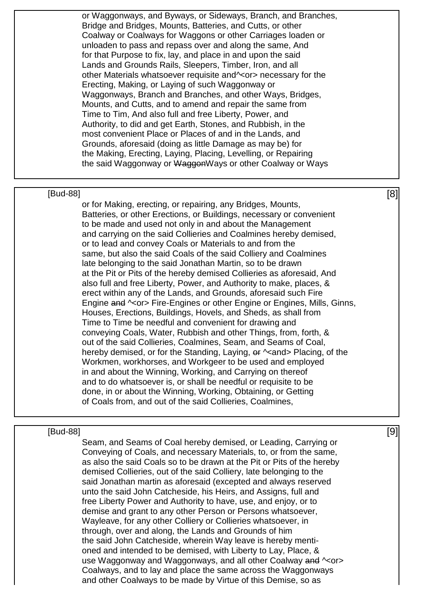or Waggonways, and Byways, or Sideways, Branch, and Branches, Bridge and Bridges, Mounts, Batteries, and Cutts, or other Coalway or Coalways for Waggons or other Carriages loaden or unloaden to pass and repass over and along the same, And for that Purpose to fix, lay, and place in and upon the said Lands and Grounds Rails, Sleepers, Timber, Iron, and all other Materials whatsoever requisite and^<or> necessary for the Erecting, Making, or Laying of such Waggonway or Waggonways, Branch and Branches, and other Ways, Bridges, Mounts, and Cutts, and to amend and repair the same from Time to Tim, And also full and free Liberty, Power, and Authority, to did and get Earth, Stones, and Rubbish, in the most convenient Place or Places of and in the Lands, and Grounds, aforesaid (doing as little Damage as may be) for the Making, Erecting, Laying, Placing, Levelling, or Repairing the said Waggonway or WaggonWays or other Coalway or Ways

### $[\mathsf{Bud}\text{-}88]$  [8]

or for Making, erecting, or repairing, any Bridges, Mounts, Batteries, or other Erections, or Buildings, necessary or convenient to be made and used not only in and about the Management and carrying on the said Collieries and Coalmines hereby demised, or to lead and convey Coals or Materials to and from the same, but also the said Coals of the said Colliery and Coalmines late belonging to the said Jonathan Martin, so to be drawn at the Pit or Pits of the hereby demised Collieries as aforesaid, And also full and free Liberty, Power, and Authority to make, places, & erect within any of the Lands, and Grounds, aforesaid such Fire Engine and  $\sim$  or > Fire-Engines or other Engine or Engines, Mills, Ginns, Houses, Erections, Buildings, Hovels, and Sheds, as shall from Time to Time be needful and convenient for drawing and conveying Coals, Water, Rubbish and other Things, from, forth, & out of the said Collieries, Coalmines, Seam, and Seams of Coal, hereby demised, or for the Standing, Laying,  $\theta$   $\epsilon$   $\sim$  and > Placing, of the Workmen, workhorses, and Workgeer to be used and employed in and about the Winning, Working, and Carrying on thereof and to do whatsoever is, or shall be needful or requisite to be done, in or about the Winning, Working, Obtaining, or Getting of Coals from, and out of the said Collieries, Coalmines,

### $[\text{Bud-88}]$  [9]

Seam, and Seams of Coal hereby demised, or Leading, Carrying or Conveying of Coals, and necessary Materials, to, or from the same, as also the said Coals so to be drawn at the Pit or Pits of the hereby demised Collieries, out of the said Colliery, late belonging to the said Jonathan martin as aforesaid (excepted and always reserved unto the said John Catcheside, his Heirs, and Assigns, full and free Liberty Power and Authority to have, use, and enjoy, or to demise and grant to any other Person or Persons whatsoever, Wayleave, for any other Colliery or Collieries whatsoever, in through, over and along, the Lands and Grounds of him the said John Catcheside, wherein Way leave is hereby mentioned and intended to be demised, with Liberty to Lay, Place, & use Waggonway and Waggonways, and all other Coalway and  $\sim$ or> Coalways, and to lay and place the same across the Waggonways and other Coalways to be made by Virtue of this Demise, so as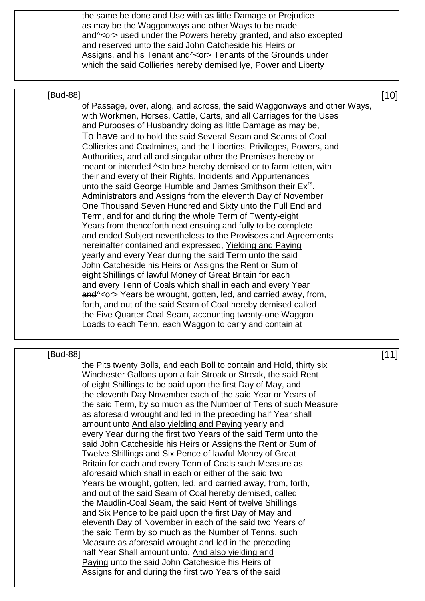the same be done and Use with as little Damage or Prejudice as may be the Waggonways and other Ways to be made and<sup>o</sup> < or> used under the Powers hereby granted, and also excepted and reserved unto the said John Catcheside his Heirs or Assigns, and his Tenant and \<or > Tenants of the Grounds under which the said Collieries hereby demised lye, Power and Liberty

### $[Bud-88]$  [10]

of Passage, over, along, and across, the said Waggonways and other Ways, with Workmen, Horses, Cattle, Carts, and all Carriages for the Uses and Purposes of Husbandry doing as little Damage as may be, To have and to hold the said Several Seam and Seams of Coal Collieries and Coalmines, and the Liberties, Privileges, Powers, and Authorities, and all and singular other the Premises hereby or meant or intended ^<to be> hereby demised or to farm letten, with their and every of their Rights, Incidents and Appurtenances unto the said George Humble and James Smithson their Ex<sup>rs</sup>. Administrators and Assigns from the eleventh Day of November One Thousand Seven Hundred and Sixty unto the Full End and Term, and for and during the whole Term of Twenty-eight Years from thenceforth next ensuing and fully to be complete and ended Subject nevertheless to the Provisoes and Agreements hereinafter contained and expressed, Yielding and Paying yearly and every Year during the said Term unto the said John Catcheside his Heirs or Assigns the Rent or Sum of eight Shillings of lawful Money of Great Britain for each and every Tenn of Coals which shall in each and every Year and<sup>o</sup> < or > Years be wrought, gotten, led, and carried away, from, forth, and out of the said Seam of Coal hereby demised called the Five Quarter Coal Seam, accounting twenty-one Waggon Loads to each Tenn, each Waggon to carry and contain at

### $[\mathsf{Bud}\text{-}88]$  [11]

the Pits twenty Bolls, and each Boll to contain and Hold, thirty six Winchester Gallons upon a fair Stroak or Streak, the said Rent of eight Shillings to be paid upon the first Day of May, and the eleventh Day November each of the said Year or Years of the said Term, by so much as the Number of Tens of such Measure as aforesaid wrought and led in the preceding half Year shall amount unto And also yielding and Paying yearly and every Year during the first two Years of the said Term unto the said John Catcheside his Heirs or Assigns the Rent or Sum of Twelve Shillings and Six Pence of lawful Money of Great Britain for each and every Tenn of Coals such Measure as aforesaid which shall in each or either of the said two Years be wrought, gotten, led, and carried away, from, forth, and out of the said Seam of Coal hereby demised, called the Maudlin-Coal Seam, the said Rent of twelve Shillings and Six Pence to be paid upon the first Day of May and eleventh Day of November in each of the said two Years of the said Term by so much as the Number of Tenns, such Measure as aforesaid wrought and led in the preceding half Year Shall amount unto. And also yielding and Paying unto the said John Catcheside his Heirs of Assigns for and during the first two Years of the said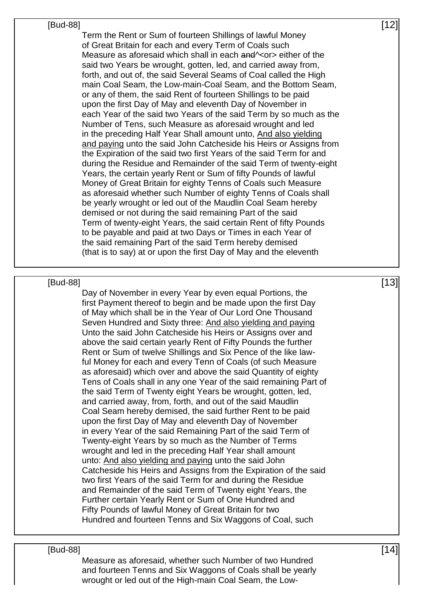| $[12]$ |  |
|--------|--|
|        |  |

Term the Rent or Sum of fourteen Shillings of lawful Money of Great Britain for each and every Term of Coals such Measure as aforesaid which shall in each and<sup> $\sim$ </sup> or bither of the said two Years be wrought, gotten, led, and carried away from, forth, and out of, the said Several Seams of Coal called the High main Coal Seam, the Low-main-Coal Seam, and the Bottom Seam, or any of them, the said Rent of fourteen Shillings to be paid upon the first Day of May and eleventh Day of November in each Year of the said two Years of the said Term by so much as the Number of Tens, such Measure as aforesaid wrought and led in the preceding Half Year Shall amount unto, And also yielding and paying unto the said John Catcheside his Heirs or Assigns from the Expiration of the said two first Years of the said Term for and during the Residue and Remainder of the said Term of twenty-eight Years, the certain yearly Rent or Sum of fifty Pounds of lawful Money of Great Britain for eighty Tenns of Coals such Measure as aforesaid whether such Number of eighty Tenns of Coals shall be yearly wrought or led out of the Maudlin Coal Seam hereby demised or not during the said remaining Part of the said Term of twenty-eight Years, the said certain Rent of fifty Pounds to be payable and paid at two Days or Times in each Year of the said remaining Part of the said Term hereby demised (that is to say) at or upon the first Day of May and the eleventh

### $[Bud-88]$  [13]

Day of November in every Year by even equal Portions, the first Payment thereof to begin and be made upon the first Day of May which shall be in the Year of Our Lord One Thousand Seven Hundred and Sixty three: And also yielding and paying Unto the said John Catcheside his Heirs or Assigns over and above the said certain yearly Rent of Fifty Pounds the further Rent or Sum of twelve Shillings and Six Pence of the like lawful Money for each and every Tenn of Coals (of such Measure as aforesaid) which over and above the said Quantity of eighty Tens of Coals shall in any one Year of the said remaining Part of the said Term of Twenty eight Years be wrought, gotten, led, and carried away, from, forth, and out of the said Maudlin Coal Seam hereby demised, the said further Rent to be paid upon the first Day of May and eleventh Day of November in every Year of the said Remaining Part of the said Term of Twenty-eight Years by so much as the Number of Terms wrought and led in the preceding Half Year shall amount unto: And also yielding and paying unto the said John Catcheside his Heirs and Assigns from the Expiration of the said two first Years of the said Term for and during the Residue and Remainder of the said Term of Twenty eight Years, the Further certain Yearly Rent or Sum of One Hundred and Fifty Pounds of lawful Money of Great Britain for two Hundred and fourteen Tenns and Six Waggons of Coal, such

### $[Bud-88]$  [14]

Measure as aforesaid, whether such Number of two Hundred and fourteen Tenns and Six Waggons of Coals shall be yearly wrought or led out of the High-main Coal Seam, the Low-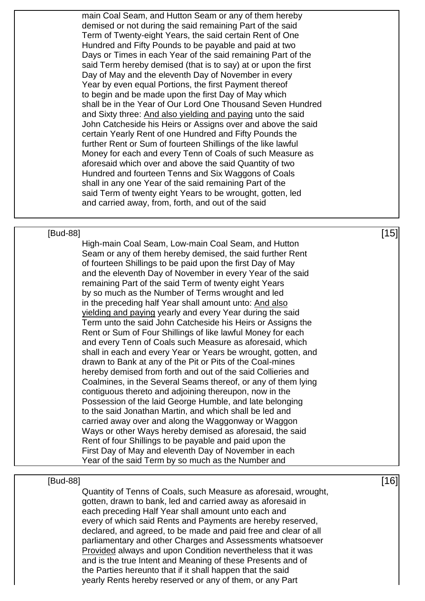main Coal Seam, and Hutton Seam or any of them hereby demised or not during the said remaining Part of the said Term of Twenty-eight Years, the said certain Rent of One Hundred and Fifty Pounds to be payable and paid at two Days or Times in each Year of the said remaining Part of the said Term hereby demised (that is to say) at or upon the first Day of May and the eleventh Day of November in every Year by even equal Portions, the first Payment thereof to begin and be made upon the first Day of May which shall be in the Year of Our Lord One Thousand Seven Hundred and Sixty three: And also yielding and paying unto the said John Catcheside his Heirs or Assigns over and above the said certain Yearly Rent of one Hundred and Fifty Pounds the further Rent or Sum of fourteen Shillings of the like lawful Money for each and every Tenn of Coals of such Measure as aforesaid which over and above the said Quantity of two Hundred and fourteen Tenns and Six Waggons of Coals shall in any one Year of the said remaining Part of the said Term of twenty eight Years to be wrought, gotten, led and carried away, from, forth, and out of the said

### $[Bud-88]$  [15]

High-main Coal Seam, Low-main Coal Seam, and Hutton Seam or any of them hereby demised, the said further Rent of fourteen Shillings to be paid upon the first Day of May and the eleventh Day of November in every Year of the said remaining Part of the said Term of twenty eight Years by so much as the Number of Terms wrought and led in the preceding half Year shall amount unto: And also yielding and paying yearly and every Year during the said Term unto the said John Catcheside his Heirs or Assigns the Rent or Sum of Four Shillings of like lawful Money for each and every Tenn of Coals such Measure as aforesaid, which shall in each and every Year or Years be wrought, gotten, and drawn to Bank at any of the Pit or Pits of the Coal-mines hereby demised from forth and out of the said Collieries and Coalmines, in the Several Seams thereof, or any of them lying contiguous thereto and adjoining thereupon, now in the Possession of the laid George Humble, and late belonging to the said Jonathan Martin, and which shall be led and carried away over and along the Waggonway or Waggon Ways or other Ways hereby demised as aforesaid, the said Rent of four Shillings to be payable and paid upon the First Day of May and eleventh Day of November in each Year of the said Term by so much as the Number and

### $[Bud-88]$  [16]

Quantity of Tenns of Coals, such Measure as aforesaid, wrought, gotten, drawn to bank, led and carried away as aforesaid in each preceding Half Year shall amount unto each and every of which said Rents and Payments are hereby reserved, declared, and agreed, to be made and paid free and clear of all parliamentary and other Charges and Assessments whatsoever Provided always and upon Condition nevertheless that it was and is the true Intent and Meaning of these Presents and of the Parties hereunto that if it shall happen that the said yearly Rents hereby reserved or any of them, or any Part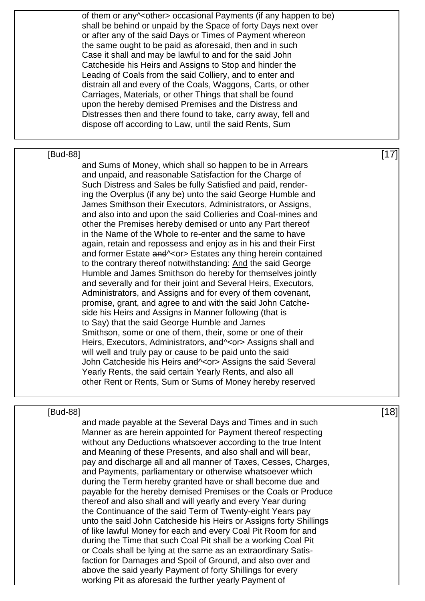of them or any<sup> $\sim$ </sup>other> occasional Payments (if any happen to be) shall be behind or unpaid by the Space of forty Days next over or after any of the said Days or Times of Payment whereon the same ought to be paid as aforesaid, then and in such Case it shall and may be lawful to and for the said John Catcheside his Heirs and Assigns to Stop and hinder the Leadng of Coals from the said Colliery, and to enter and distrain all and every of the Coals, Waggons, Carts, or other Carriages, Materials, or other Things that shall be found upon the hereby demised Premises and the Distress and Distresses then and there found to take, carry away, fell and dispose off according to Law, until the said Rents, Sum

 $[8ud-88]$  [17] and Sums of Money, which shall so happen to be in Arrears and unpaid, and reasonable Satisfaction for the Charge of Such Distress and Sales be fully Satisfied and paid, rendering the Overplus (if any be) unto the said George Humble and James Smithson their Executors, Administrators, or Assigns, and also into and upon the said Collieries and Coal-mines and other the Premises hereby demised or unto any Part thereof in the Name of the Whole to re-enter and the same to have again, retain and repossess and enjoy as in his and their First and former Estate and \<or> Estates any thing herein contained to the contrary thereof notwithstanding: And the said George Humble and James Smithson do hereby for themselves jointly and severally and for their joint and Several Heirs, Executors, Administrators, and Assigns and for every of them covenant, promise, grant, and agree to and with the said John Catcheside his Heirs and Assigns in Manner following (that is to Say) that the said George Humble and James Smithson, some or one of them, their, some or one of their Heirs, Executors, Administrators, and equal assigns shall and will well and truly pay or cause to be paid unto the said John Catcheside his Heirs and Yor > Assigns the said Several Yearly Rents, the said certain Yearly Rents, and also all other Rent or Rents, Sum or Sums of Money hereby reserved

### $[Bud-88]$  [18]

and made payable at the Several Days and Times and in such Manner as are herein appointed for Payment thereof respecting without any Deductions whatsoever according to the true Intent and Meaning of these Presents, and also shall and will bear, pay and discharge all and all manner of Taxes, Cesses, Charges, and Payments, parliamentary or otherwise whatsoever which during the Term hereby granted have or shall become due and payable for the hereby demised Premises or the Coals or Produce thereof and also shall and will yearly and every Year during the Continuance of the said Term of Twenty-eight Years pay unto the said John Catcheside his Heirs or Assigns forty Shillings of like lawful Money for each and every Coal Pit Room for and during the Time that such Coal Pit shall be a working Coal Pit or Coals shall be lying at the same as an extraordinary Satisfaction for Damages and Spoil of Ground, and also over and above the said yearly Payment of forty Shillings for every working Pit as aforesaid the further yearly Payment of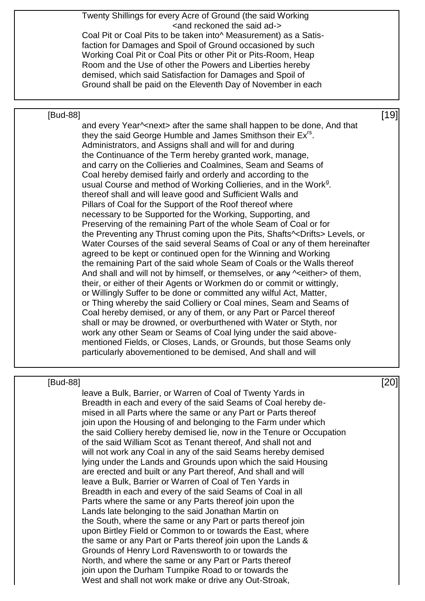| Twenty Shillings for every Acre of Ground (the said Working                                                                                 |        |
|---------------------------------------------------------------------------------------------------------------------------------------------|--------|
| <and ad-="" reckoned="" said="" the=""></and>                                                                                               |        |
| Coal Pit or Coal Pits to be taken into <sup>^</sup> Measurement) as a Satis-                                                                |        |
| faction for Damages and Spoil of Ground occasioned by such                                                                                  |        |
| Working Coal Pit or Coal Pits or other Pit or Pits-Room, Heap                                                                               |        |
| Room and the Use of other the Powers and Liberties hereby                                                                                   |        |
| demised, which said Satisfaction for Damages and Spoil of                                                                                   |        |
| Ground shall be paid on the Eleventh Day of November in each                                                                                |        |
|                                                                                                                                             |        |
| [Bud-88]                                                                                                                                    | $[19]$ |
| and every Year^ <next> after the same shall happen to be done, And that</next>                                                              |        |
| they the said George Humble and James Smithson their Ex <sup>rs</sup> .                                                                     |        |
| Administrators, and Assigns shall and will for and during                                                                                   |        |
| the Continuance of the Term hereby granted work, manage,                                                                                    |        |
| and carry on the Collieries and Coalmines, Seam and Seams of                                                                                |        |
| Coal hereby demised fairly and orderly and according to the                                                                                 |        |
| usual Course and method of Working Collieries, and in the Work <sup>9</sup> .<br>thereof shall and will leave good and Sufficient Walls and |        |
| Pillars of Coal for the Support of the Roof thereof where                                                                                   |        |
| necessary to be Supported for the Working, Supporting, and                                                                                  |        |
| Preserving of the remaining Part of the whole Seam of Coal or for                                                                           |        |
| the Preventing any Thrust coming upon the Pits, Shafts <sup><math>\sim</math></sup> Drifts> Levels, or                                      |        |
| Water Courses of the said several Seams of Coal or any of them hereinafter                                                                  |        |
| agreed to be kept or continued open for the Winning and Working                                                                             |        |
| the remaining Part of the said whole Seam of Coals or the Walls thereof                                                                     |        |
| And shall and will not by himself, or themselves, or any $\sim$ either > of them,                                                           |        |
| their, or either of their Agents or Workmen do or commit or wittingly,                                                                      |        |
| or Willingly Suffer to be done or committed any wilful Act, Matter,                                                                         |        |
| or Thing whereby the said Colliery or Coal mines, Seam and Seams of                                                                         |        |
| Coal hereby demised, or any of them, or any Part or Parcel thereof                                                                          |        |
| shall or may be drowned, or overburthened with Water or Styth, nor                                                                          |        |
| work any other Seam or Seams of Coal lying under the said above-                                                                            |        |
| mentioned Fields, or Closes, Lands, or Grounds, but those Seams only                                                                        |        |
| particularly abovementioned to be demised, And shall and will                                                                               |        |
|                                                                                                                                             |        |

 $[Bud-88]$  [20]

leave a Bulk, Barrier, or Warren of Coal of Twenty Yards in Breadth in each and every of the said Seams of Coal hereby demised in all Parts where the same or any Part or Parts thereof join upon the Housing of and belonging to the Farm under which the said Colliery hereby demised lie, now in the Tenure or Occupation of the said William Scot as Tenant thereof, And shall not and will not work any Coal in any of the said Seams hereby demised lying under the Lands and Grounds upon which the said Housing are erected and built or any Part thereof, And shall and will leave a Bulk, Barrier or Warren of Coal of Ten Yards in Breadth in each and every of the said Seams of Coal in all Parts where the same or any Parts thereof join upon the Lands late belonging to the said Jonathan Martin on the South, where the same or any Part or parts thereof join upon Birtley Field or Common to or towards the East, where the same or any Part or Parts thereof join upon the Lands & Grounds of Henry Lord Ravensworth to or towards the North, and where the same or any Part or Parts thereof join upon the Durham Turnpike Road to or towards the West and shall not work make or drive any Out-Stroak,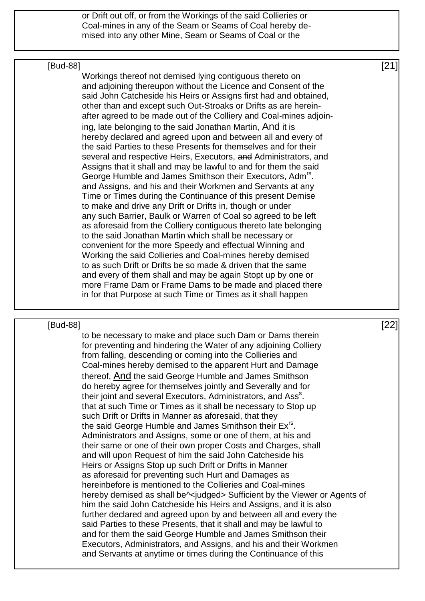or Drift out off, or from the Workings of the said Collieries or Coal-mines in any of the Seam or Seams of Coal hereby demised into any other Mine, Seam or Seams of Coal or the

### $[Bud-88]$  [21]

Workings thereof not demised lying contiguous thereto on and adjoining thereupon without the Licence and Consent of the said John Catcheside his Heirs or Assigns first had and obtained, other than and except such Out-Stroaks or Drifts as are hereinafter agreed to be made out of the Colliery and Coal-mines adjoining, late belonging to the said Jonathan Martin, And it is hereby declared and agreed upon and between all and every of the said Parties to these Presents for themselves and for their several and respective Heirs, Executors, and Administrators, and Assigns that it shall and may be lawful to and for them the said George Humble and James Smithson their Executors, Adm<sup>rs</sup>. and Assigns, and his and their Workmen and Servants at any Time or Times during the Continuance of this present Demise to make and drive any Drift or Drifts in, though or under any such Barrier, Baulk or Warren of Coal so agreed to be left as aforesaid from the Colliery contiguous thereto late belonging to the said Jonathan Martin which shall be necessary or convenient for the more Speedy and effectual Winning and Working the said Collieries and Coal-mines hereby demised to as such Drift or Drifts be so made & driven that the same and every of them shall and may be again Stopt up by one or more Frame Dam or Frame Dams to be made and placed there in for that Purpose at such Time or Times as it shall happen

### $[Bud-88]$  [22]

to be necessary to make and place such Dam or Dams therein for preventing and hindering the Water of any adjoining Colliery from falling, descending or coming into the Collieries and Coal-mines hereby demised to the apparent Hurt and Damage thereof, And the said George Humble and James Smithson do hereby agree for themselves jointly and Severally and for their joint and several Executors, Administrators, and Ass<sup>s</sup>. that at such Time or Times as it shall be necessary to Stop up such Drift or Drifts in Manner as aforesaid, that they the said George Humble and James Smithson their Ex<sup>rs</sup>. Administrators and Assigns, some or one of them, at his and their same or one of their own proper Costs and Charges, shall and will upon Request of him the said John Catcheside his Heirs or Assigns Stop up such Drift or Drifts in Manner as aforesaid for preventing such Hurt and Damages as hereinbefore is mentioned to the Collieries and Coal-mines hereby demised as shall be^<iudged> Sufficient by the Viewer or Agents of him the said John Catcheside his Heirs and Assigns, and it is also further declared and agreed upon by and between all and every the said Parties to these Presents, that it shall and may be lawful to and for them the said George Humble and James Smithson their Executors, Administrators, and Assigns, and his and their Workmen and Servants at anytime or times during the Continuance of this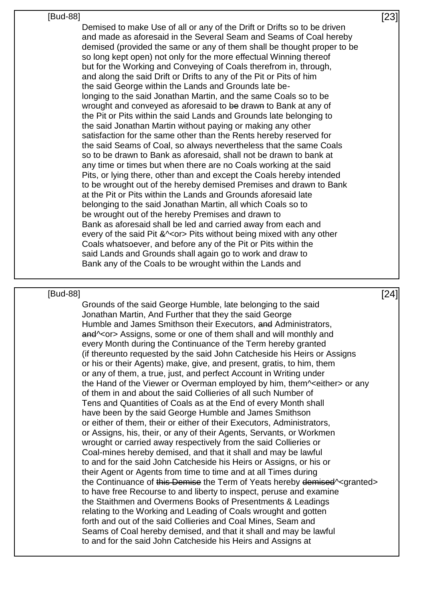| [Bud-88] | וומחז<br>~~ |
|----------|-------------|
|          |             |

Demised to make Use of all or any of the Drift or Drifts so to be driven and made as aforesaid in the Several Seam and Seams of Coal hereby demised (provided the same or any of them shall be thought proper to be so long kept open) not only for the more effectual Winning thereof but for the Working and Conveying of Coals therefrom in, through, and along the said Drift or Drifts to any of the Pit or Pits of him the said George within the Lands and Grounds late belonging to the said Jonathan Martin, and the same Coals so to be wrought and conveyed as aforesaid to be drawn to Bank at any of the Pit or Pits within the said Lands and Grounds late belonging to the said Jonathan Martin without paying or making any other satisfaction for the same other than the Rents hereby reserved for the said Seams of Coal, so always nevertheless that the same Coals so to be drawn to Bank as aforesaid, shall not be drawn to bank at any time or times but when there are no Coals working at the said Pits, or lying there, other than and except the Coals hereby intended to be wrought out of the hereby demised Premises and drawn to Bank at the Pit or Pits within the Lands and Grounds aforesaid late belonging to the said Jonathan Martin, all which Coals so to be wrought out of the hereby Premises and drawn to Bank as aforesaid shall be led and carried away from each and every of the said Pit &  $\sim$  or > Pits without being mixed with any other Coals whatsoever, and before any of the Pit or Pits within the said Lands and Grounds shall again go to work and draw to Bank any of the Coals to be wrought within the Lands and

### $[Bud-88]$  [24]

Grounds of the said George Humble, late belonging to the said Jonathan Martin, And Further that they the said George Humble and James Smithson their Executors, and Administrators, and<sup>o</sup> <or > Assigns, some or one of them shall and will monthly and every Month during the Continuance of the Term hereby granted (if thereunto requested by the said John Catcheside his Heirs or Assigns or his or their Agents) make, give, and present, gratis, to him, them or any of them, a true, just, and perfect Account in Writing under the Hand of the Viewer or Overman employed by him, them^<either> or any of them in and about the said Collieries of all such Number of Tens and Quantities of Coals as at the End of every Month shall have been by the said George Humble and James Smithson or either of them, their or either of their Executors, Administrators, or Assigns, his, their, or any of their Agents, Servants, or Workmen wrought or carried away respectively from the said Collieries or Coal-mines hereby demised, and that it shall and may be lawful to and for the said John Catcheside his Heirs or Assigns, or his or their Agent or Agents from time to time and at all Times during the Continuance of this Demise the Term of Yeats hereby demised<sup>o</sup> < granted > to have free Recourse to and liberty to inspect, peruse and examine the Staithmen and Overmens Books of Presentments & Leadings relating to the Working and Leading of Coals wrought and gotten forth and out of the said Collieries and Coal Mines, Seam and Seams of Coal hereby demised, and that it shall and may be lawful to and for the said John Catcheside his Heirs and Assigns at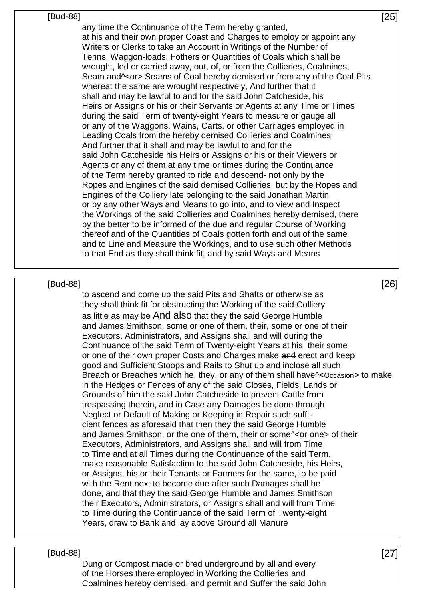### $[Bud-88]$  [25]

any time the Continuance of the Term hereby granted, at his and their own proper Coast and Charges to employ or appoint any Writers or Clerks to take an Account in Writings of the Number of Tenns, Waggon-loads, Fothers or Quantities of Coals which shall be wrought, led or carried away, out, of, or from the Collieries, Coalmines, Seam and<sup> $\sim$ </sup> or Seams of Coal hereby demised or from any of the Coal Pits whereat the same are wrought respectively, And further that it shall and may be lawful to and for the said John Catcheside, his Heirs or Assigns or his or their Servants or Agents at any Time or Times during the said Term of twenty-eight Years to measure or gauge all or any of the Waggons, Wains, Carts, or other Carriages employed in Leading Coals from the hereby demised Collieries and Coalmines, And further that it shall and may be lawful to and for the said John Catcheside his Heirs or Assigns or his or their Viewers or Agents or any of them at any time or times during the Continuance of the Term hereby granted to ride and descend- not only by the Ropes and Engines of the said demised Collieries, but by the Ropes and Engines of the Colliery late belonging to the said Jonathan Martin or by any other Ways and Means to go into, and to view and Inspect the Workings of the said Collieries and Coalmines hereby demised, there by the better to be informed of the due and regular Course of Working thereof and of the Quantities of Coals gotten forth and out of the same and to Line and Measure the Workings, and to use such other Methods to that End as they shall think fit, and by said Ways and Means

### $[Bud-88]$  [26]

to ascend and come up the said Pits and Shafts or otherwise as they shall think fit for obstructing the Working of the said Colliery as little as may be And also that they the said George Humble and James Smithson, some or one of them, their, some or one of their Executors, Administrators, and Assigns shall and will during the Continuance of the said Term of Twenty-eight Years at his, their some or one of their own proper Costs and Charges make and erect and keep good and Sufficient Stoops and Rails to Shut up and inclose all such Breach or Breaches which he, they, or any of them shall have^<Occasion> to make in the Hedges or Fences of any of the said Closes, Fields, Lands or Grounds of him the said John Catcheside to prevent Cattle from trespassing therein, and in Case any Damages be done through Neglect or Default of Making or Keeping in Repair such sufficient fences as aforesaid that then they the said George Humble and James Smithson, or the one of them, their or some<sup> $\sim$ </sup> or one > of their Executors, Administrators, and Assigns shall and will from Time to Time and at all Times during the Continuance of the said Term, make reasonable Satisfaction to the said John Catcheside, his Heirs, or Assigns, his or their Tenants or Farmers for the same, to be paid with the Rent next to become due after such Damages shall be done, and that they the said George Humble and James Smithson their Executors, Administrators, or Assigns shall and will from Time to Time during the Continuance of the said Term of Twenty-eight Years, draw to Bank and lay above Ground all Manure

### $[Bud-88]$  [27]

Dung or Compost made or bred underground by all and every of the Horses there employed in Working the Collieries and Coalmines hereby demised, and permit and Suffer the said John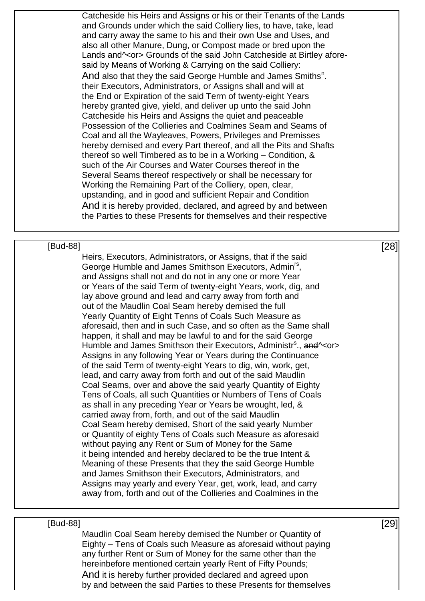Catcheside his Heirs and Assigns or his or their Tenants of the Lands and Grounds under which the said Colliery lies, to have, take, lead and carry away the same to his and their own Use and Uses, and also all other Manure, Dung, or Compost made or bred upon the Lands and<sup> $\sim$ </sup> or Srounds of the said John Catcheside at Birtley aforesaid by Means of Working & Carrying on the said Colliery: And also that they the said George Humble and James Smiths<sup>n</sup>. their Executors, Administrators, or Assigns shall and will at the End or Expiration of the said Term of twenty-eight Years hereby granted give, yield, and deliver up unto the said John Catcheside his Heirs and Assigns the quiet and peaceable Possession of the Collieries and Coalmines Seam and Seams of Coal and all the Wayleaves, Powers, Privileges and Premisses hereby demised and every Part thereof, and all the Pits and Shafts thereof so well Timbered as to be in a Working – Condition, & such of the Air Courses and Water Courses thereof in the Several Seams thereof respectively or shall be necessary for Working the Remaining Part of the Colliery, open, clear, upstanding, and in good and sufficient Repair and Condition And it is hereby provided, declared, and agreed by and between the Parties to these Presents for themselves and their respective

### $[Bud-88]$  [28]

Heirs, Executors, Administrators, or Assigns, that if the said George Humble and James Smithson Executors, Admin<sup>rs</sup>, and Assigns shall not and do not in any one or more Year or Years of the said Term of twenty-eight Years, work, dig, and lay above ground and lead and carry away from forth and out of the Maudlin Coal Seam hereby demised the full Yearly Quantity of Eight Tenns of Coals Such Measure as aforesaid, then and in such Case, and so often as the Same shall happen, it shall and may be lawful to and for the said George Humble and James Smithson their Executors, Administr<sup>s</sup>., and Acor Assigns in any following Year or Years during the Continuance of the said Term of twenty-eight Years to dig, win, work, get, lead, and carry away from forth and out of the said Maudlin Coal Seams, over and above the said yearly Quantity of Eighty Tens of Coals, all such Quantities or Numbers of Tens of Coals as shall in any preceding Year or Years be wrought, led, & carried away from, forth, and out of the said Maudlin Coal Seam hereby demised, Short of the said yearly Number or Quantity of eighty Tens of Coals such Measure as aforesaid without paying any Rent or Sum of Money for the Same it being intended and hereby declared to be the true Intent & Meaning of these Presents that they the said George Humble and James Smithson their Executors, Administrators, and Assigns may yearly and every Year, get, work, lead, and carry away from, forth and out of the Collieries and Coalmines in the

### $[\text{Bud-88}]$  [29]

Maudlin Coal Seam hereby demised the Number or Quantity of Eighty – Tens of Coals such Measure as aforesaid without paying any further Rent or Sum of Money for the same other than the hereinbefore mentioned certain yearly Rent of Fifty Pounds; And it is hereby further provided declared and agreed upon by and between the said Parties to these Presents for themselves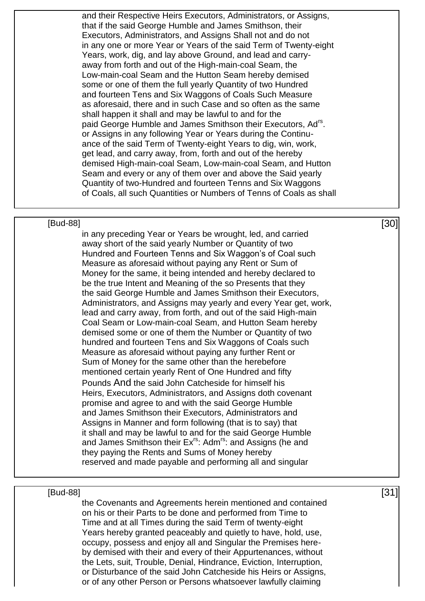and their Respective Heirs Executors, Administrators, or Assigns, that if the said George Humble and James Smithson, their Executors, Administrators, and Assigns Shall not and do not in any one or more Year or Years of the said Term of Twenty-eight Years, work, dig, and lay above Ground, and lead and carryaway from forth and out of the High-main-coal Seam, the Low-main-coal Seam and the Hutton Seam hereby demised some or one of them the full yearly Quantity of two Hundred and fourteen Tens and Six Waggons of Coals Such Measure as aforesaid, there and in such Case and so often as the same shall happen it shall and may be lawful to and for the paid George Humble and James Smithson their Executors, Ad<sup>rs</sup>. or Assigns in any following Year or Years during the Continuance of the said Term of Twenty-eight Years to dig, win, work, get lead, and carry away, from, forth and out of the hereby demised High-main-coal Seam, Low-main-coal Seam, and Hutton Seam and every or any of them over and above the Said yearly Quantity of two-Hundred and fourteen Tenns and Six Waggons of Coals, all such Quantities or Numbers of Tenns of Coals as shall

### $[Bud-88]$  [30]

in any preceding Year or Years be wrought, led, and carried away short of the said yearly Number or Quantity of two Hundred and Fourteen Tenns and Six Waggon's of Coal such Measure as aforesaid without paying any Rent or Sum of Money for the same, it being intended and hereby declared to be the true Intent and Meaning of the so Presents that they the said George Humble and James Smithson their Executors, Administrators, and Assigns may yearly and every Year get, work, lead and carry away, from forth, and out of the said High-main Coal Seam or Low-main-coal Seam, and Hutton Seam hereby demised some or one of them the Number or Quantity of two hundred and fourteen Tens and Six Waggons of Coals such Measure as aforesaid without paying any further Rent or Sum of Money for the same other than the herebefore mentioned certain yearly Rent of One Hundred and fifty Pounds And the said John Catcheside for himself his Heirs, Executors, Administrators, and Assigns doth covenant promise and agree to and with the said George Humble and James Smithson their Executors, Administrators and Assigns in Manner and form following (that is to say) that it shall and may be lawful to and for the said George Humble and James Smithson their  $Ex^{rs}$ : Adm<sup>rs</sup>: and Assigns (he and they paying the Rents and Sums of Money hereby reserved and made payable and performing all and singular

### $[31]$

the Covenants and Agreements herein mentioned and contained on his or their Parts to be done and performed from Time to Time and at all Times during the said Term of twenty-eight Years hereby granted peaceably and quietly to have, hold, use, occupy, possess and enjoy all and Singular the Premises hereby demised with their and every of their Appurtenances, without the Lets, suit, Trouble, Denial, Hindrance, Eviction, Interruption, or Disturbance of the said John Catcheside his Heirs or Assigns, or of any other Person or Persons whatsoever lawfully claiming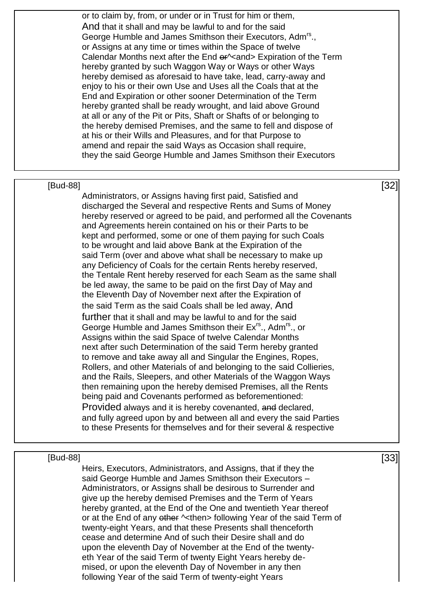or to claim by, from, or under or in Trust for him or them, And that it shall and may be lawful to and for the said George Humble and James Smithson their Executors, Adm<sup>rs</sup>., or Assigns at any time or times within the Space of twelve Calendar Months next after the End er^<and> Expiration of the Term hereby granted by such Waggon Way or Ways or other Ways hereby demised as aforesaid to have take, lead, carry-away and enjoy to his or their own Use and Uses all the Coals that at the End and Expiration or other sooner Determination of the Term hereby granted shall be ready wrought, and laid above Ground at all or any of the Pit or Pits, Shaft or Shafts of or belonging to the hereby demised Premises, and the same to fell and dispose of at his or their Wills and Pleasures, and for that Purpose to amend and repair the said Ways as Occasion shall require, they the said George Humble and James Smithson their Executors

### $[32]$

Administrators, or Assigns having first paid, Satisfied and discharged the Several and respective Rents and Sums of Money hereby reserved or agreed to be paid, and performed all the Covenants and Agreements herein contained on his or their Parts to be kept and performed, some or one of them paying for such Coals to be wrought and laid above Bank at the Expiration of the said Term (over and above what shall be necessary to make up any Deficiency of Coals for the certain Rents hereby reserved, the Tentale Rent hereby reserved for each Seam as the same shall be led away, the same to be paid on the first Day of May and the Eleventh Day of November next after the Expiration of the said Term as the said Coals shall be led away, And further that it shall and may be lawful to and for the said George Humble and James Smithson their Ex<sup>rs</sup>., Adm<sup>rs</sup>., or Assigns within the said Space of twelve Calendar Months next after such Determination of the said Term hereby granted to remove and take away all and Singular the Engines, Ropes, Rollers, and other Materials of and belonging to the said Collieries, and the Rails, Sleepers, and other Materials of the Waggon Ways then remaining upon the hereby demised Premises, all the Rents being paid and Covenants performed as beforementioned: Provided always and it is hereby covenanted, and declared, and fully agreed upon by and between all and every the said Parties to these Presents for themselves and for their several & respective

### $[Bud-88]$  [33]

Heirs, Executors, Administrators, and Assigns, that if they the said George Humble and James Smithson their Executors – Administrators, or Assigns shall be desirous to Surrender and give up the hereby demised Premises and the Term of Years hereby granted, at the End of the One and twentieth Year thereof or at the End of any other  $\sim$ then> following Year of the said Term of twenty-eight Years, and that these Presents shall thenceforth cease and determine And of such their Desire shall and do upon the eleventh Day of November at the End of the twentyeth Year of the said Term of twenty Eight Years hereby demised, or upon the eleventh Day of November in any then following Year of the said Term of twenty-eight Years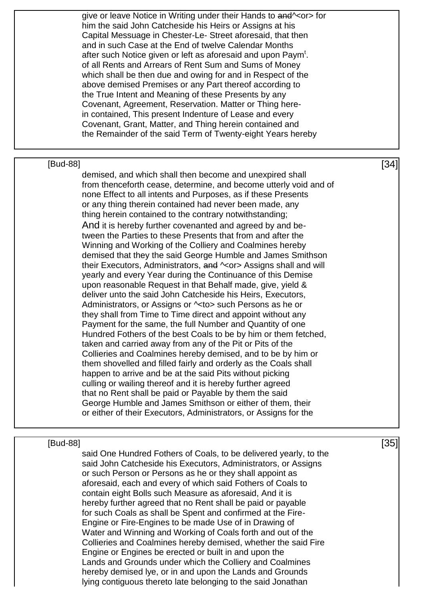|          | give or leave Notice in Writing under their Hands to and \ <or> for<br/>him the said John Catcheside his Heirs or Assigns at his<br/>Capital Messuage in Chester-Le- Street aforesaid, that then<br/>and in such Case at the End of twelve Calendar Months<br/>after such Notice given or left as aforesaid and upon Paym<sup>t</sup>.<br/>of all Rents and Arrears of Rent Sum and Sums of Money<br/>which shall be then due and owing for and in Respect of the<br/>above demised Premises or any Part thereof according to<br/>the True Intent and Meaning of these Presents by any<br/>Covenant, Agreement, Reservation. Matter or Thing here-<br/>in contained, This present Indenture of Lease and every<br/>Covenant, Grant, Matter, and Thing herein contained and<br/>the Remainder of the said Term of Twenty-eight Years hereby</or>                                                                                                                                                                                                                                                                                                                                                                                                                                                                                                                                                                                                                                                                                                                                                                                          |      |
|----------|------------------------------------------------------------------------------------------------------------------------------------------------------------------------------------------------------------------------------------------------------------------------------------------------------------------------------------------------------------------------------------------------------------------------------------------------------------------------------------------------------------------------------------------------------------------------------------------------------------------------------------------------------------------------------------------------------------------------------------------------------------------------------------------------------------------------------------------------------------------------------------------------------------------------------------------------------------------------------------------------------------------------------------------------------------------------------------------------------------------------------------------------------------------------------------------------------------------------------------------------------------------------------------------------------------------------------------------------------------------------------------------------------------------------------------------------------------------------------------------------------------------------------------------------------------------------------------------------------------------------------------------|------|
|          |                                                                                                                                                                                                                                                                                                                                                                                                                                                                                                                                                                                                                                                                                                                                                                                                                                                                                                                                                                                                                                                                                                                                                                                                                                                                                                                                                                                                                                                                                                                                                                                                                                          |      |
| [Bud-88] | demised, and which shall then become and unexpired shall<br>from thenceforth cease, determine, and become utterly void and of<br>none Effect to all intents and Purposes, as if these Presents<br>or any thing therein contained had never been made, any<br>thing herein contained to the contrary notwithstanding;<br>And it is hereby further covenanted and agreed by and be-<br>tween the Parties to these Presents that from and after the<br>Winning and Working of the Colliery and Coalmines hereby<br>demised that they the said George Humble and James Smithson<br>their Executors, Administrators, and $\sim$ or> Assigns shall and will<br>yearly and every Year during the Continuance of this Demise<br>upon reasonable Request in that Behalf made, give, yield &<br>deliver unto the said John Catcheside his Heirs, Executors,<br>Administrators, or Assigns or $\sim$ to > such Persons as he or<br>they shall from Time to Time direct and appoint without any<br>Payment for the same, the full Number and Quantity of one<br>Hundred Fothers of the best Coals to be by him or them fetched,<br>taken and carried away from any of the Pit or Pits of the<br>Collieries and Coalmines hereby demised, and to be by him or<br>them shovelled and filled fairly and orderly as the Coals shall<br>happen to arrive and be at the said Pits without picking<br>culling or wailing thereof and it is hereby further agreed<br>that no Rent shall be paid or Payable by them the said<br>George Humble and James Smithson or either of them, their<br>or either of their Executors, Administrators, or Assigns for the | [34] |
|          |                                                                                                                                                                                                                                                                                                                                                                                                                                                                                                                                                                                                                                                                                                                                                                                                                                                                                                                                                                                                                                                                                                                                                                                                                                                                                                                                                                                                                                                                                                                                                                                                                                          |      |
| [Bud-88] | said One Hundred Fothers of Coals, to be delivered yearly, to the<br>said John Catcheside his Executors, Administrators, or Assigns<br>or such Person or Persons as he or they shall appoint as<br>aforesaid, each and every of which said Fothers of Coals to<br>contain eight Bolls such Measure as aforesaid, And it is<br>hereby further agreed that no Rent shall be paid or payable<br>for such Coals as shall be Spent and confirmed at the Fire-<br>Engine or Fire-Engines to be made Use of in Drawing of<br>Water and Winning and Working of Coals forth and out of the<br>Collieries and Coalmines hereby demised, whether the said Fire                                                                                                                                                                                                                                                                                                                                                                                                                                                                                                                                                                                                                                                                                                                                                                                                                                                                                                                                                                                      | [35] |

Engine or Engines be erected or built in and upon the Lands and Grounds under which the Colliery and Coalmines hereby demised lye, or in and upon the Lands and Grounds lying contiguous thereto late belonging to the said Jonathan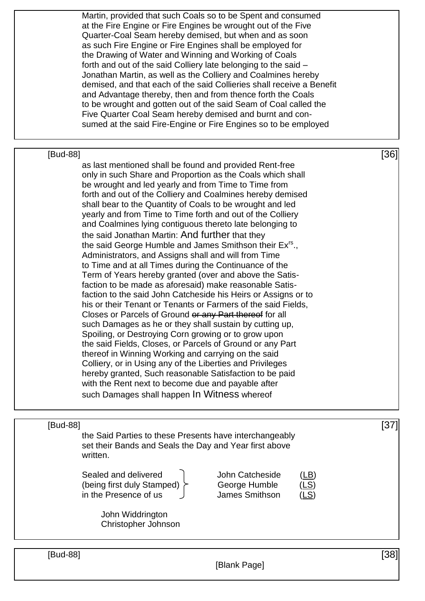Martin, provided that such Coals so to be Spent and consumed at the Fire Engine or Fire Engines be wrought out of the Five Quarter-Coal Seam hereby demised, but when and as soon as such Fire Engine or Fire Engines shall be employed for the Drawing of Water and Winning and Working of Coals forth and out of the said Colliery late belonging to the said – Jonathan Martin, as well as the Colliery and Coalmines hereby demised, and that each of the said Collieries shall receive a Benefit and Advantage thereby, then and from thence forth the Coals to be wrought and gotten out of the said Seam of Coal called the Five Quarter Coal Seam hereby demised and burnt and consumed at the said Fire-Engine or Fire Engines so to be employed  $[Bud-88]$  [36] as last mentioned shall be found and provided Rent-free only in such Share and Proportion as the Coals which shall be wrought and led yearly and from Time to Time from forth and out of the Colliery and Coalmines hereby demised shall bear to the Quantity of Coals to be wrought and led yearly and from Time to Time forth and out of the Colliery and Coalmines lying contiguous thereto late belonging to the said Jonathan Martin: And further that they the said George Humble and James Smithson their Ex<sup>rs</sup>., Administrators, and Assigns shall and will from Time to Time and at all Times during the Continuance of the Term of Years hereby granted (over and above the Satisfaction to be made as aforesaid) make reasonable Satisfaction to the said John Catcheside his Heirs or Assigns or to his or their Tenant or Tenants or Farmers of the said Fields, Closes or Parcels of Ground or any Part thereof for all such Damages as he or they shall sustain by cutting up, Spoiling, or Destroying Corn growing or to grow upon the said Fields, Closes, or Parcels of Ground or any Part thereof in Winning Working and carrying on the said Colliery, or in Using any of the Liberties and Privileges hereby granted, Such reasonable Satisfaction to be paid with the Rent next to become due and payable after such Damages shall happen In Witness whereof  $[37]$ the Said Parties to these Presents have interchangeably set their Bands and Seals the Day and Year first above written. Sealed and delivered John Catcheside (being first duly Stamped)  $\succ$  George Humble in the Presence of us  $\frac{1}{2}$  James Smithson John Widdrington Christopher Johnson  $[Bud-88]$  [38]

[Blank Page]